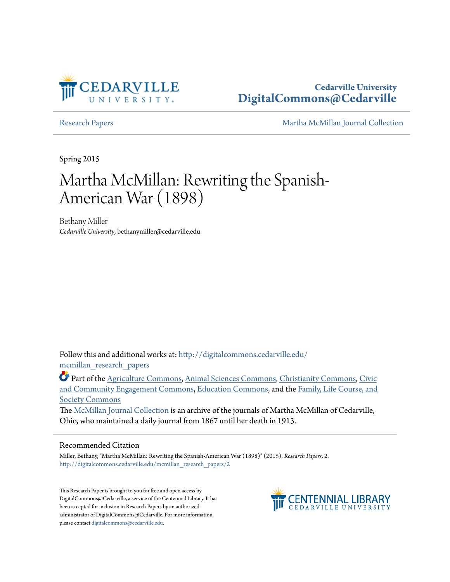

## **Cedarville University [DigitalCommons@Cedarville](http://digitalcommons.cedarville.edu?utm_source=digitalcommons.cedarville.edu%2Fmcmillan_research_papers%2F2&utm_medium=PDF&utm_campaign=PDFCoverPages)**

[Research Papers](http://digitalcommons.cedarville.edu/mcmillan_research_papers?utm_source=digitalcommons.cedarville.edu%2Fmcmillan_research_papers%2F2&utm_medium=PDF&utm_campaign=PDFCoverPages) [Martha McMillan Journal Collection](http://digitalcommons.cedarville.edu/mcmillan_journal_collection?utm_source=digitalcommons.cedarville.edu%2Fmcmillan_research_papers%2F2&utm_medium=PDF&utm_campaign=PDFCoverPages)

Spring 2015

# Martha McMillan: Rewriting the Spanish-American War (1898)

Bethany Miller *Cedarville University*, bethanymiller@cedarville.edu

Follow this and additional works at: [http://digitalcommons.cedarville.edu/](http://digitalcommons.cedarville.edu/mcmillan_research_papers?utm_source=digitalcommons.cedarville.edu%2Fmcmillan_research_papers%2F2&utm_medium=PDF&utm_campaign=PDFCoverPages) [mcmillan\\_research\\_papers](http://digitalcommons.cedarville.edu/mcmillan_research_papers?utm_source=digitalcommons.cedarville.edu%2Fmcmillan_research_papers%2F2&utm_medium=PDF&utm_campaign=PDFCoverPages)

Part of the [Agriculture Commons](http://network.bepress.com/hgg/discipline/1076?utm_source=digitalcommons.cedarville.edu%2Fmcmillan_research_papers%2F2&utm_medium=PDF&utm_campaign=PDFCoverPages), [Animal Sciences Commons,](http://network.bepress.com/hgg/discipline/76?utm_source=digitalcommons.cedarville.edu%2Fmcmillan_research_papers%2F2&utm_medium=PDF&utm_campaign=PDFCoverPages) [Christianity Commons](http://network.bepress.com/hgg/discipline/1181?utm_source=digitalcommons.cedarville.edu%2Fmcmillan_research_papers%2F2&utm_medium=PDF&utm_campaign=PDFCoverPages), [Civic](http://network.bepress.com/hgg/discipline/1028?utm_source=digitalcommons.cedarville.edu%2Fmcmillan_research_papers%2F2&utm_medium=PDF&utm_campaign=PDFCoverPages) [and Community Engagement Commons,](http://network.bepress.com/hgg/discipline/1028?utm_source=digitalcommons.cedarville.edu%2Fmcmillan_research_papers%2F2&utm_medium=PDF&utm_campaign=PDFCoverPages) [Education Commons,](http://network.bepress.com/hgg/discipline/784?utm_source=digitalcommons.cedarville.edu%2Fmcmillan_research_papers%2F2&utm_medium=PDF&utm_campaign=PDFCoverPages) and the [Family, Life Course, and](http://network.bepress.com/hgg/discipline/419?utm_source=digitalcommons.cedarville.edu%2Fmcmillan_research_papers%2F2&utm_medium=PDF&utm_campaign=PDFCoverPages) [Society Commons](http://network.bepress.com/hgg/discipline/419?utm_source=digitalcommons.cedarville.edu%2Fmcmillan_research_papers%2F2&utm_medium=PDF&utm_campaign=PDFCoverPages)

The [McMillan Journal Collection](http://digitalcommons.cedarville.edu/mcmillan_journal_collection/) is an archive of the journals of Martha McMillan of Cedarville, Ohio, who maintained a daily journal from 1867 until her death in 1913.

#### Recommended Citation

Miller, Bethany, "Martha McMillan: Rewriting the Spanish-American War (1898)" (2015). *Research Papers*. 2. [http://digitalcommons.cedarville.edu/mcmillan\\_research\\_papers/2](http://digitalcommons.cedarville.edu/mcmillan_research_papers/2?utm_source=digitalcommons.cedarville.edu%2Fmcmillan_research_papers%2F2&utm_medium=PDF&utm_campaign=PDFCoverPages)

This Research Paper is brought to you for free and open access by DigitalCommons@Cedarville, a service of the Centennial Library. It has been accepted for inclusion in Research Papers by an authorized administrator of DigitalCommons@Cedarville. For more information, please contact [digitalcommons@cedarville.edu.](mailto:digitalcommons@cedarville.edu)

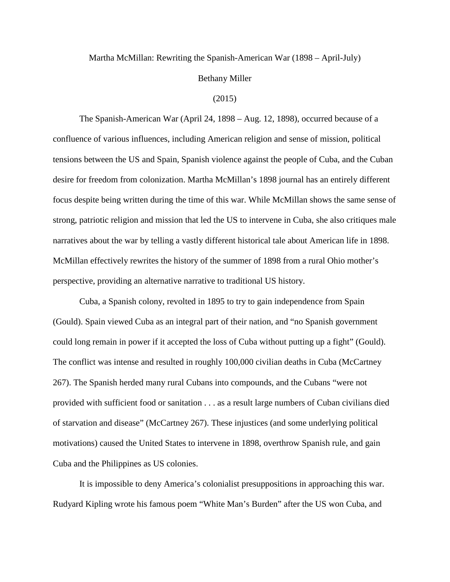#### Martha McMillan: Rewriting the Spanish-American War (1898 – April-July)

#### Bethany Miller

#### (2015)

 The Spanish-American War (April 24, 1898 – Aug. 12, 1898), occurred because of a confluence of various influences, including American religion and sense of mission, political tensions between the US and Spain, Spanish violence against the people of Cuba, and the Cuban desire for freedom from colonization. Martha McMillan's 1898 journal has an entirely different focus despite being written during the time of this war. While McMillan shows the same sense of strong, patriotic religion and mission that led the US to intervene in Cuba, she also critiques male narratives about the war by telling a vastly different historical tale about American life in 1898. McMillan effectively rewrites the history of the summer of 1898 from a rural Ohio mother's perspective, providing an alternative narrative to traditional US history.

 Cuba, a Spanish colony, revolted in 1895 to try to gain independence from Spain (Gould). Spain viewed Cuba as an integral part of their nation, and "no Spanish government could long remain in power if it accepted the loss of Cuba without putting up a fight" (Gould). The conflict was intense and resulted in roughly 100,000 civilian deaths in Cuba (McCartney 267). The Spanish herded many rural Cubans into compounds, and the Cubans "were not provided with sufficient food or sanitation . . . as a result large numbers of Cuban civilians died of starvation and disease" (McCartney 267). These injustices (and some underlying political motivations) caused the United States to intervene in 1898, overthrow Spanish rule, and gain Cuba and the Philippines as US colonies.

 It is impossible to deny America's colonialist presuppositions in approaching this war. Rudyard Kipling wrote his famous poem "White Man's Burden" after the US won Cuba, and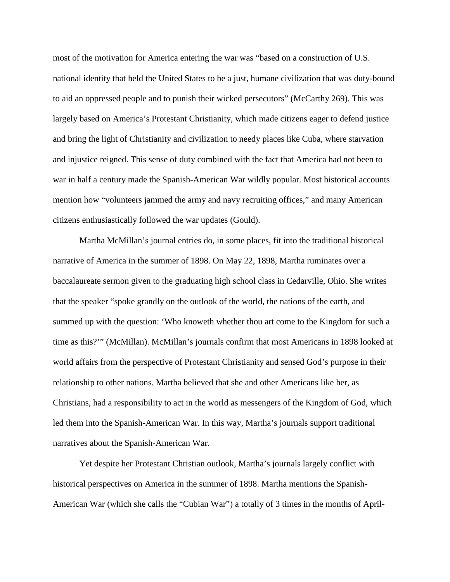most of the motivation for America entering the war was "based on a construction of U.S. national identity that held the United States to be a just, humane civilization that was duty-bound to aid an oppressed people and to punish their wicked persecutors" (McCarthy 269). This was largely based on America's Protestant Christianity, which made citizens eager to defend justice and bring the light of Christianity and civilization to needy places like Cuba, where starvation and injustice reigned. This sense of duty combined with the fact that America had not been to war in half a century made the Spanish-American War wildly popular. Most historical accounts mention how "volunteers jammed the army and navy recruiting offices," and many American citizens enthusiastically followed the war updates (Gould).

 Martha McMillan's journal entries do, in some places, fit into the traditional historical narrative of America in the summer of 1898. On May 22, 1898, Martha ruminates over a baccalaureate sermon given to the graduating high school class in Cedarville, Ohio. She writes that the speaker "spoke grandly on the outlook of the world, the nations of the earth, and summed up with the question: 'Who knoweth whether thou art come to the Kingdom for such a time as this?'" (McMillan). McMillan's journals confirm that most Americans in 1898 looked at world affairs from the perspective of Protestant Christianity and sensed God's purpose in their relationship to other nations. Martha believed that she and other Americans like her, as Christians, had a responsibility to act in the world as messengers of the Kingdom of God, which led them into the Spanish-American War. In this way, Martha's journals support traditional narratives about the Spanish-American War.

 Yet despite her Protestant Christian outlook, Martha's journals largely conflict with historical perspectives on America in the summer of 1898. Martha mentions the Spanish-American War (which she calls the "Cubian War") a totally of 3 times in the months of April-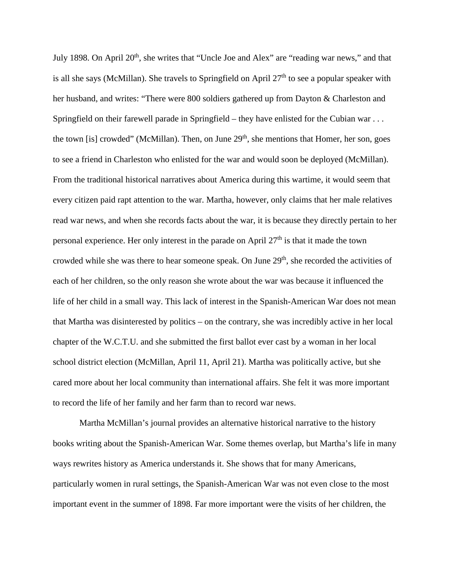July 1898. On April 20<sup>th</sup>, she writes that "Uncle Joe and Alex" are "reading war news," and that is all she says (McMillan). She travels to Springfield on April  $27<sup>th</sup>$  to see a popular speaker with her husband, and writes: "There were 800 soldiers gathered up from Dayton & Charleston and Springfield on their farewell parade in Springfield – they have enlisted for the Cubian war . . . the town [is] crowded" (McMillan). Then, on June  $29<sup>th</sup>$ , she mentions that Homer, her son, goes to see a friend in Charleston who enlisted for the war and would soon be deployed (McMillan). From the traditional historical narratives about America during this wartime, it would seem that every citizen paid rapt attention to the war. Martha, however, only claims that her male relatives read war news, and when she records facts about the war, it is because they directly pertain to her personal experience. Her only interest in the parade on April  $27<sup>th</sup>$  is that it made the town crowded while she was there to hear someone speak. On June 29<sup>th</sup>, she recorded the activities of each of her children, so the only reason she wrote about the war was because it influenced the life of her child in a small way. This lack of interest in the Spanish-American War does not mean that Martha was disinterested by politics – on the contrary, she was incredibly active in her local chapter of the W.C.T.U. and she submitted the first ballot ever cast by a woman in her local school district election (McMillan, April 11, April 21). Martha was politically active, but she cared more about her local community than international affairs. She felt it was more important to record the life of her family and her farm than to record war news.

 Martha McMillan's journal provides an alternative historical narrative to the history books writing about the Spanish-American War. Some themes overlap, but Martha's life in many ways rewrites history as America understands it. She shows that for many Americans, particularly women in rural settings, the Spanish-American War was not even close to the most important event in the summer of 1898. Far more important were the visits of her children, the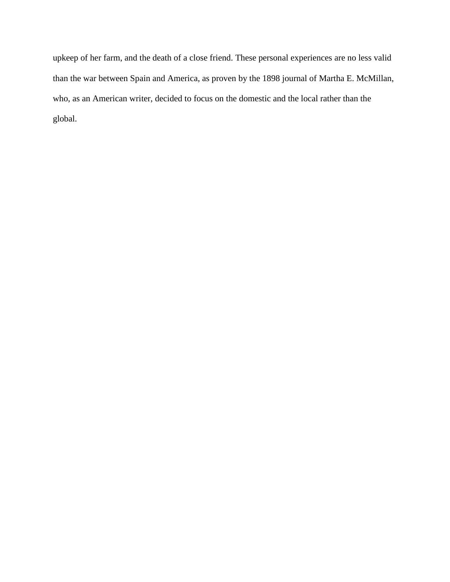upkeep of her farm, and the death of a close friend. These personal experiences are no less valid than the war between Spain and America, as proven by the 1898 journal of Martha E. McMillan, who, as an American writer, decided to focus on the domestic and the local rather than the global.